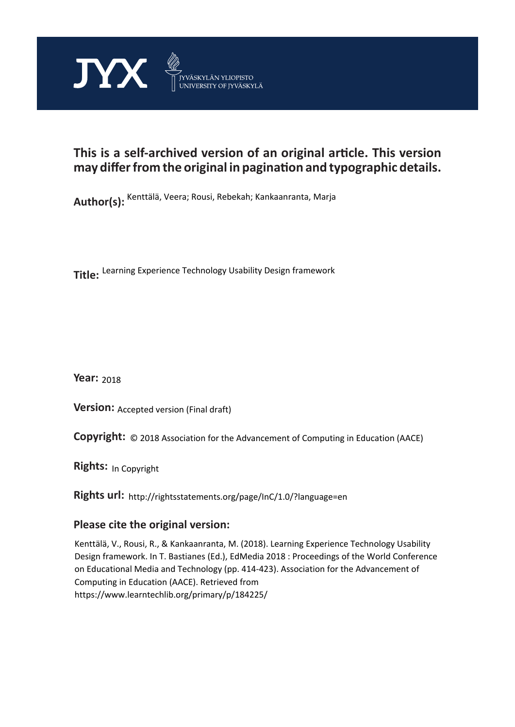

# **This is a self-archived version of an original article. This version may differ from the original in pagination and typographic details.**

**Author(s):**  Kenttälä, Veera; Rousi, Rebekah; Kankaanranta, Marja

**Title:**  Learning Experience Technology Usability Design framework

**Year:**  2018

**Version: Accepted version (Final draft)** 

**Version:** Accepted version (Final draft)<br>**Copyright:** © 2018 Association for the Advancement of Computing in Education (AACE)

**Rights:** In Copyright

**Rights url:**  http://rightsstatements.org/page/InC/1.0/?language=en

## **Please cite the original version:**

Kenttälä, V., Rousi, R., & Kankaanranta, M. (2018). Learning Experience Technology Usability Design framework. In T. Bastianes (Ed.), EdMedia 2018 : Proceedings of the World Conference on Educational Media and Technology (pp. 414-423). Association for the Advancement of Computing in Education (AACE). Retrieved from https://www.learntechlib.org/primary/p/184225/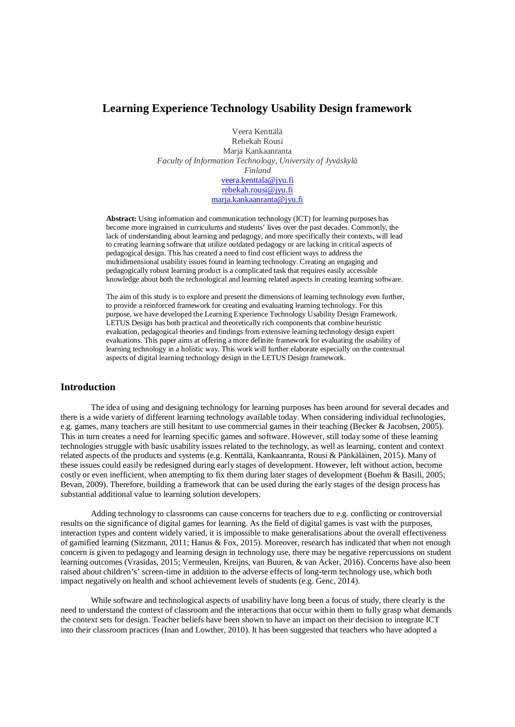## **Learning Experience Technology Usability Design framework**

Veera Kenttälä Rebekah Rousi Marja Kankaanranta *Faculty of Information Technology, University of Jyväskylä Finland* veera.kenttala@jyu.fi rebekah.rousi@jyu.fi marja.kankaanranta@jyu.fi

**Abstract:** Using information and communication technology (ICT) for learning purposes has become more ingrained in curriculums and students' lives over the past decades. Commonly, the lack of understanding about learning and pedagogy, and more specifically their contexts, will lead to creating learning software that utilize outdated pedagogy or are lacking in critical aspects of pedagogical design. This has created a need to find cost efficient ways to address the multidimensional usability issues found in learning technology. Creating an engaging and pedagogically robust learning product is a complicated task that requires easily accessible knowledge about both the technological and learning related aspects in creating learning software.

The aim of this study is to explore and present the dimensions of learning technology even further, to provide a reinforced framework for creating and evaluating learning technology. For this purpose, we have developed the Learning Experience Technology Usability Design Framework. LETUS Design has both practical and theoretically rich components that combine heuristic evaluation, pedagogical theories and findings from extensive learning technology design expert evaluations. This paper aims at offering a more definite framework for evaluating the usability of learning technology in a holistic way. This work will further elaborate especially on the contextual aspects of digital learning technology design in the LETUS Design framework.

#### **Introduction**

The idea of using and designing technology for learning purposes has been around for several decades and there is a wide variety of different learning technology available today. When considering individual technologies, e.g. games, many teachers are still hesitant to use commercial games in their teaching (Becker & Jacobsen, 2005). This in turn creates a need for learning specific games and software. However, still today some of these learning technologies struggle with basic usability issues related to the technology, as well as learning, content and context related aspects of the products and systems (e.g. Kenttälä, Kankaanranta, Rousi & Pänkäläinen, 2015). Many of these issues could easily be redesigned during early stages of development. However, left without action, become costly or even inefficient, when attempting to fix them during later stages of development (Boehm & Basili, 2005; Bevan, 2009). Therefore, building a framework that can be used during the early stages of the design process has substantial additional value to learning solution developers.

Adding technology to classrooms can cause concerns for teachers due to e.g. conflicting or controversial results on the significance of digital games for learning. As the field of digital games is vast with the purposes, interaction types and content widely varied, it is impossible to make generalisations about the overall effectiveness of gamified learning (Sitzmann, 2011; Hanus & Fox, 2015). Moreover, research has indicated that when not enough concern is given to pedagogy and learning design in technology use, there may be negative repercussions on student learning outcomes (Vrasidas, 2015; Vermeulen, Kreijns, van Buuren, & van Acker, 2016). Concerns have also been raised about children's' screen-time in addition to the adverse effects of long-term technology use, which both impact negatively on health and school achievement levels of students (e.g. Genc, 2014).

While software and technological aspects of usability have long been a focus of study, there clearly is the need to understand the context of classroom and the interactions that occur within them to fully grasp what demands the context sets for design. Teacher beliefs have been shown to have an impact on their decision to integrate ICT into their classroom practices (Inan and Lowther, 2010). It has been suggested that teachers who have adopted a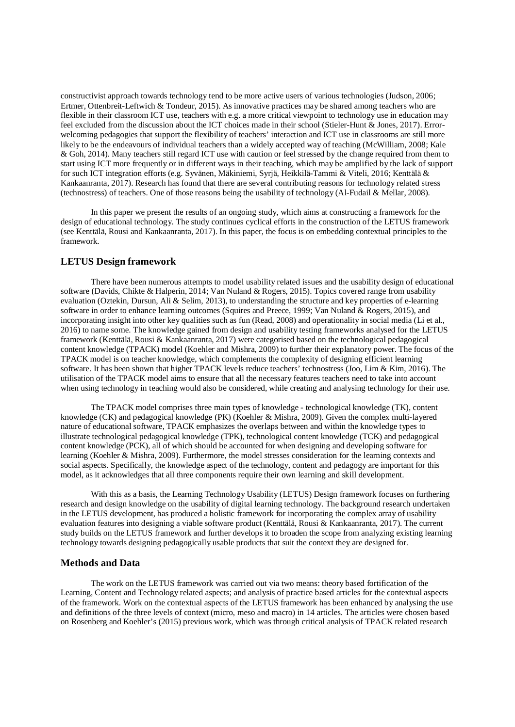constructivist approach towards technology tend to be more active users of various technologies (Judson, 2006; Ertmer, Ottenbreit-Leftwich & Tondeur, 2015). As innovative practices may be shared among teachers who are flexible in their classroom ICT use, teachers with e.g. a more critical viewpoint to technology use in education may feel excluded from the discussion about the ICT choices made in their school (Stieler-Hunt & Jones, 2017). Errorwelcoming pedagogies that support the flexibility of teachers' interaction and ICT use in classrooms are still more likely to be the endeavours of individual teachers than a widely accepted way of teaching (McWilliam, 2008; Kale & Goh, 2014). Many teachers still regard ICT use with caution or feel stressed by the change required from them to start using ICT more frequently or in different ways in their teaching, which may be amplified by the lack of support for such ICT integration efforts (e.g. Syvänen, Mäkiniemi, Syrjä, Heikkilä-Tammi & Viteli, 2016; Kenttälä & Kankaanranta, 2017). Research has found that there are several contributing reasons for technology related stress (technostress) of teachers. One of those reasons being the usability of technology (Al-Fudail & Mellar, 2008).

In this paper we present the results of an ongoing study, which aims at constructing a framework for the design of educational technology. The study continues cyclical efforts in the construction of the LETUS framework (see Kenttälä, Rousi and Kankaanranta, 2017). In this paper, the focus is on embedding contextual principles to the framework.

#### **LETUS Design framework**

There have been numerous attempts to model usability related issues and the usability design of educational software (Davids, Chikte & Halperin, 2014; Van Nuland & Rogers, 2015). Topics covered range from usability evaluation (Oztekin, Dursun, Ali & Selim, 2013), to understanding the structure and key properties of e-learning software in order to enhance learning outcomes (Squires and Preece, 1999; Van Nuland & Rogers, 2015), and incorporating insight into other key qualities such as fun (Read, 2008) and operationality in social media (Li et al., 2016) to name some. The knowledge gained from design and usability testing frameworks analysed for the LETUS framework (Kenttälä, Rousi & Kankaanranta, 2017) were categorised based on the technological pedagogical content knowledge (TPACK) model (Koehler and Mishra, 2009) to further their explanatory power. The focus of the TPACK model is on teacher knowledge, which complements the complexity of designing efficient learning software. It has been shown that higher TPACK levels reduce teachers' technostress (Joo, Lim & Kim, 2016). The utilisation of the TPACK model aims to ensure that all the necessary features teachers need to take into account when using technology in teaching would also be considered, while creating and analysing technology for their use.

The TPACK model comprises three main types of knowledge - technological knowledge (TK), content knowledge (CK) and pedagogical knowledge (PK) (Koehler & Mishra, 2009). Given the complex multi-layered nature of educational software, TPACK emphasizes the overlaps between and within the knowledge types to illustrate technological pedagogical knowledge (TPK), technological content knowledge (TCK) and pedagogical content knowledge (PCK), all of which should be accounted for when designing and developing software for learning (Koehler & Mishra, 2009). Furthermore, the model stresses consideration for the learning contexts and social aspects. Specifically, the knowledge aspect of the technology, content and pedagogy are important for this model, as it acknowledges that all three components require their own learning and skill development.

With this as a basis, the Learning Technology Usability (LETUS) Design framework focuses on furthering research and design knowledge on the usability of digital learning technology. The background research undertaken in the LETUS development, has produced a holistic framework for incorporating the complex array of usability evaluation features into designing a viable software product (Kenttälä, Rousi & Kankaanranta, 2017). The current study builds on the LETUS framework and further develops it to broaden the scope from analyzing existing learning technology towards designing pedagogically usable products that suit the context they are designed for.

#### **Methods and Data**

The work on the LETUS framework was carried out via two means: theory based fortification of the Learning, Content and Technology related aspects; and analysis of practice based articles for the contextual aspects of the framework. Work on the contextual aspects of the LETUS framework has been enhanced by analysing the use and definitions of the three levels of context (micro, meso and macro) in 14 articles. The articles were chosen based on Rosenberg and Koehler's (2015) previous work, which was through critical analysis of TPACK related research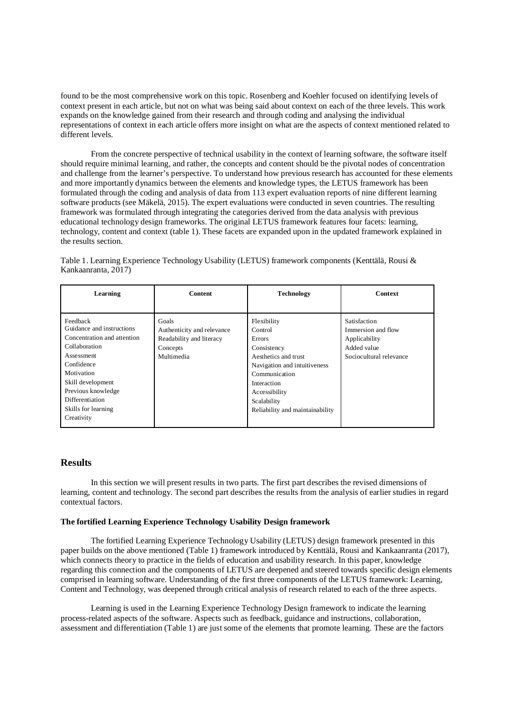found to be the most comprehensive work on this topic. Rosenberg and Koehler focused on identifying levels of context present in each article, but not on what was being said about context on each of the three levels. This work expands on the knowledge gained from their research and through coding and analysing the individual representations of context in each article offers more insight on what are the aspects of context mentioned related to different levels.

From the concrete perspective of technical usability in the context of learning software, the software itself should require minimal learning, and rather, the concepts and content should be the pivotal nodes of concentration and challenge from the learner's perspective. To understand how previous research has accounted for these elements and more importantly dynamics between the elements and knowledge types, the LETUS framework has been formulated through the coding and analysis of data from 113 expert evaluation reports of nine different learning software products (see Mäkelä, 2015). The expert evaluations were conducted in seven countries. The resulting framework was formulated through integrating the categories derived from the data analysis with previous educational technology design frameworks. The original LETUS framework features four facets: learning, technology, content and context (table 1). These facets are expanded upon in the updated framework explained in the results section.

Table 1. Learning Experience Technology Usability (LETUS) framework components (Kenttälä, Rousi & Kankaanranta, 2017)

| Learning                                                                                                                                             | <b>Content</b>                                                                            | <b>Technology</b>                                                                                                                       | <b>Context</b>                                                                                |
|------------------------------------------------------------------------------------------------------------------------------------------------------|-------------------------------------------------------------------------------------------|-----------------------------------------------------------------------------------------------------------------------------------------|-----------------------------------------------------------------------------------------------|
| Feedback<br>Guidance and instructions<br>Concentration and attention<br>Collaboration<br>Assessment<br>Confidence<br>Motivation<br>Skill development | Goals<br>Authenticity and relevance<br>Readability and literacy<br>Concepts<br>Multimedia | Flexibility<br>Control<br>Errors<br>Consistency<br>Aesthetics and trust<br>Navigation and intuitiveness<br>Communication<br>Interaction | Satisfaction<br>Immersion and flow<br>Applicability<br>Added value<br>Sociocultural relevance |
| Previous knowledge<br>Differentiation<br>Skills for learning<br>Creativity                                                                           |                                                                                           | Accessibility<br>Scalability<br>Reliability and maintainability                                                                         |                                                                                               |

#### **Results**

In this section we will present results in two parts. The first part describes the revised dimensions of learning, content and technology. The second part describes the results from the analysis of earlier studies in regard contextual factors.

#### **The fortified Learning Experience Technology Usability Design framework**

The fortified Learning Experience Technology Usability (LETUS) design framework presented in this paper builds on the above mentioned (Table 1) framework introduced by Kenttälä, Rousi and Kankaanranta (2017), which connects theory to practice in the fields of education and usability research. In this paper, knowledge regarding this connection and the components of LETUS are deepened and steered towards specific design elements comprised in learning software. Understanding of the first three components of the LETUS framework: Learning, Content and Technology, was deepened through critical analysis of research related to each of the three aspects.

Learning is used in the Learning Experience Technology Design framework to indicate the learning process-related aspects of the software. Aspects such as feedback, guidance and instructions, collaboration, assessment and differentiation (Table 1) are just some of the elements that promote learning. These are the factors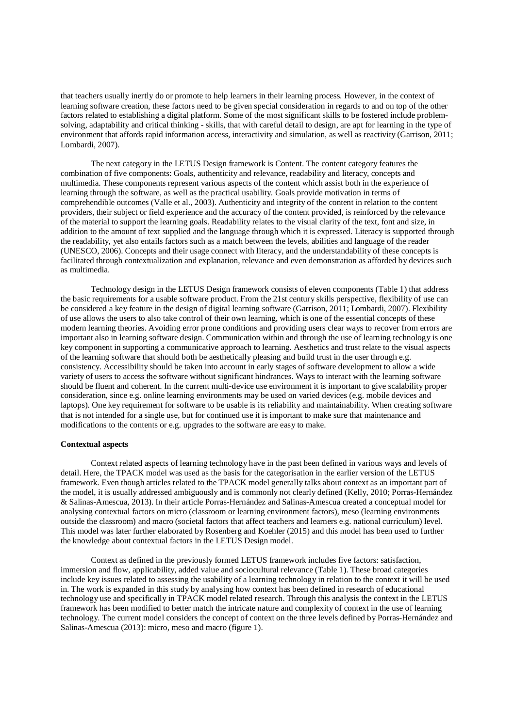that teachers usually inertly do or promote to help learners in their learning process. However, in the context of learning software creation, these factors need to be given special consideration in regards to and on top of the other factors related to establishing a digital platform. Some of the most significant skills to be fostered include problemsolving, adaptability and critical thinking - skills, that with careful detail to design, are apt for learning in the type of environment that affords rapid information access, interactivity and simulation, as well as reactivity (Garrison, 2011; Lombardi, 2007).

The next category in the LETUS Design framework is Content. The content category features the combination of five components: Goals, authenticity and relevance, readability and literacy, concepts and multimedia. These components represent various aspects of the content which assist both in the experience of learning through the software, as well as the practical usability. Goals provide motivation in terms of comprehendible outcomes (Valle et al., 2003). Authenticity and integrity of the content in relation to the content providers, their subject or field experience and the accuracy of the content provided, is reinforced by the relevance of the material to support the learning goals. Readability relates to the visual clarity of the text, font and size, in addition to the amount of text supplied and the language through which it is expressed. Literacy is supported through the readability, yet also entails factors such as a match between the levels, abilities and language of the reader (UNESCO, 2006). Concepts and their usage connect with literacy, and the understandability of these concepts is facilitated through contextualization and explanation, relevance and even demonstration as afforded by devices such as multimedia.

Technology design in the LETUS Design framework consists of eleven components (Table 1) that address the basic requirements for a usable software product. From the 21st century skills perspective, flexibility of use can be considered a key feature in the design of digital learning software (Garrison, 2011; Lombardi, 2007). Flexibility of use allows the users to also take control of their own learning, which is one of the essential concepts of these modern learning theories. Avoiding error prone conditions and providing users clear ways to recover from errors are important also in learning software design. Communication within and through the use of learning technology is one key component in supporting a communicative approach to learning. Aesthetics and trust relate to the visual aspects of the learning software that should both be aesthetically pleasing and build trust in the user through e.g. consistency. Accessibility should be taken into account in early stages of software development to allow a wide variety of users to access the software without significant hindrances. Ways to interact with the learning software should be fluent and coherent. In the current multi-device use environment it is important to give scalability proper consideration, since e.g. online learning environments may be used on varied devices (e.g. mobile devices and laptops). One key requirement for software to be usable is its reliability and maintainability. When creating software that is not intended for a single use, but for continued use it is important to make sure that maintenance and modifications to the contents or e.g. upgrades to the software are easy to make.

#### **Contextual aspects**

Context related aspects of learning technology have in the past been defined in various ways and levels of detail. Here, the TPACK model was used as the basis for the categorisation in the earlier version of the LETUS framework. Even though articles related to the TPACK model generally talks about context as an important part of the model, it is usually addressed ambiguously and is commonly not clearly defined (Kelly, 2010; Porras-Hernández & Salinas-Amescua, 2013). In their article Porras-Hernández and Salinas-Amescua created a conceptual model for analysing contextual factors on micro (classroom or learning environment factors), meso (learning environments outside the classroom) and macro (societal factors that affect teachers and learners e.g. national curriculum) level. This model was later further elaborated by Rosenberg and Koehler (2015) and this model has been used to further the knowledge about contextual factors in the LETUS Design model.

Context as defined in the previously formed LETUS framework includes five factors: satisfaction, immersion and flow, applicability, added value and sociocultural relevance (Table 1). These broad categories include key issues related to assessing the usability of a learning technology in relation to the context it will be used in. The work is expanded in this study by analysing how context has been defined in research of educational technology use and specifically in TPACK model related research. Through this analysis the context in the LETUS framework has been modified to better match the intricate nature and complexity of context in the use of learning technology. The current model considers the concept of context on the three levels defined by Porras-Hernández and Salinas-Amescua (2013): micro, meso and macro (figure 1).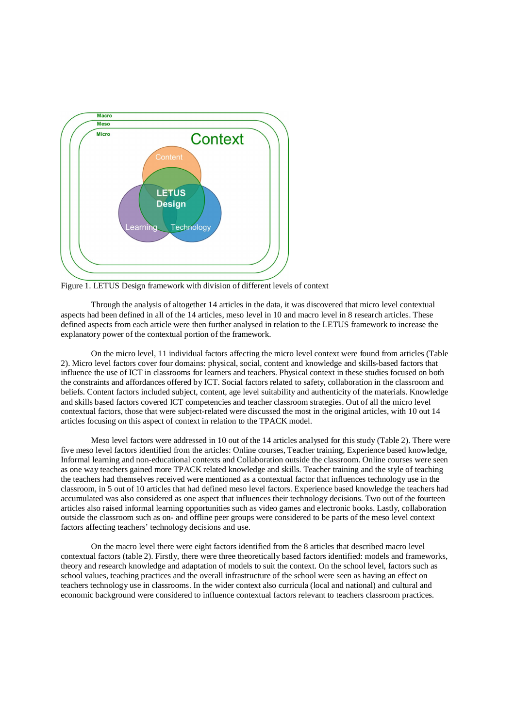

Figure 1. LETUS Design framework with division of different levels of context

Through the analysis of altogether 14 articles in the data, it was discovered that micro level contextual aspects had been defined in all of the 14 articles, meso level in 10 and macro level in 8 research articles. These defined aspects from each article were then further analysed in relation to the LETUS framework to increase the explanatory power of the contextual portion of the framework.

On the micro level, 11 individual factors affecting the micro level context were found from articles (Table 2). Micro level factors cover four domains: physical, social, content and knowledge and skills-based factors that influence the use of ICT in classrooms for learners and teachers. Physical context in these studies focused on both the constraints and affordances offered by ICT. Social factors related to safety, collaboration in the classroom and beliefs. Content factors included subject, content, age level suitability and authenticity of the materials. Knowledge and skills based factors covered ICT competencies and teacher classroom strategies. Out of all the micro level contextual factors, those that were subject-related were discussed the most in the original articles, with 10 out 14 articles focusing on this aspect of context in relation to the TPACK model.

Meso level factors were addressed in 10 out of the 14 articles analysed for this study (Table 2). There were five meso level factors identified from the articles: Online courses, Teacher training, Experience based knowledge, Informal learning and non-educational contexts and Collaboration outside the classroom. Online courses were seen as one way teachers gained more TPACK related knowledge and skills. Teacher training and the style of teaching the teachers had themselves received were mentioned as a contextual factor that influences technology use in the classroom, in 5 out of 10 articles that had defined meso level factors. Experience based knowledge the teachers had accumulated was also considered as one aspect that influences their technology decisions. Two out of the fourteen articles also raised informal learning opportunities such as video games and electronic books. Lastly, collaboration outside the classroom such as on- and offline peer groups were considered to be parts of the meso level context factors affecting teachers' technology decisions and use.

On the macro level there were eight factors identified from the 8 articles that described macro level contextual factors (table 2). Firstly, there were three theoretically based factors identified: models and frameworks, theory and research knowledge and adaptation of models to suit the context. On the school level, factors such as school values, teaching practices and the overall infrastructure of the school were seen as having an effect on teachers technology use in classrooms. In the wider context also curricula (local and national) and cultural and economic background were considered to influence contextual factors relevant to teachers classroom practices.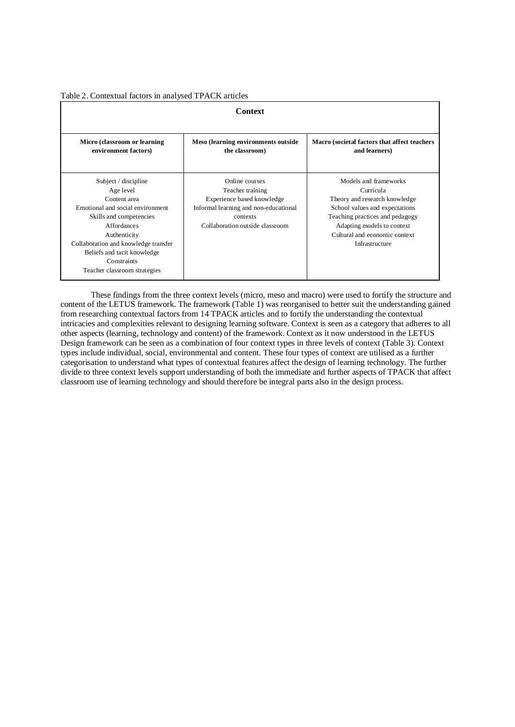Table 2. Contextual factors in analysed TPACK articles

| Context                                                                                                                                                                                                                                                                      |                                                                                                                                                          |                                                                                                                                                                                                                           |  |  |  |  |
|------------------------------------------------------------------------------------------------------------------------------------------------------------------------------------------------------------------------------------------------------------------------------|----------------------------------------------------------------------------------------------------------------------------------------------------------|---------------------------------------------------------------------------------------------------------------------------------------------------------------------------------------------------------------------------|--|--|--|--|
| Micro (classroom or learning<br>environment factors)                                                                                                                                                                                                                         | Meso (learning environments outside<br>the classroom)                                                                                                    | Macro (societal factors that affect teachers<br>and learners)                                                                                                                                                             |  |  |  |  |
| Subject / discipline<br>Age level<br>Content area<br>Emotional and social environment<br>Skills and competencies<br><b>Affordances</b><br>Authenticity<br>Collaboration and knowledge transfer<br>Beliefs and tacit knowledge<br>Constraints<br>Teacher classroom strategies | Online courses<br>Teacher training<br>Experience based knowledge<br>Informal learning and non-educational<br>contexts<br>Collaboration outside classroom | Models and frameworks<br>Curricula<br>Theory and research knowledge<br>School values and expectations<br>Teaching practices and pedagogy<br>Adapting models to context<br>Cultural and economic context<br>Infrastructure |  |  |  |  |

These findings from the three context levels (micro, meso and macro) were used to fortify the structure and content of the LETUS framework. The framework (Table 1) was reorganised to better suit the understanding gained from researching contextual factors from 14 TPACK articles and to fortify the understanding the contextual intricacies and complexities relevant to designing learning software. Context is seen as a category that adheres to all other aspects (learning, technology and content) of the framework. Context as it now understood in the LETUS Design framework can be seen as a combination of four context types in three levels of context (Table 3). Context types include individual, social, environmental and content. These four types of context are utilised as a further categorisation to understand what types of contextual features affect the design of learning technology. The further divide to three context levels support understanding of both the immediate and further aspects of TPACK that affect classroom use of learning technology and should therefore be integral parts also in the design process.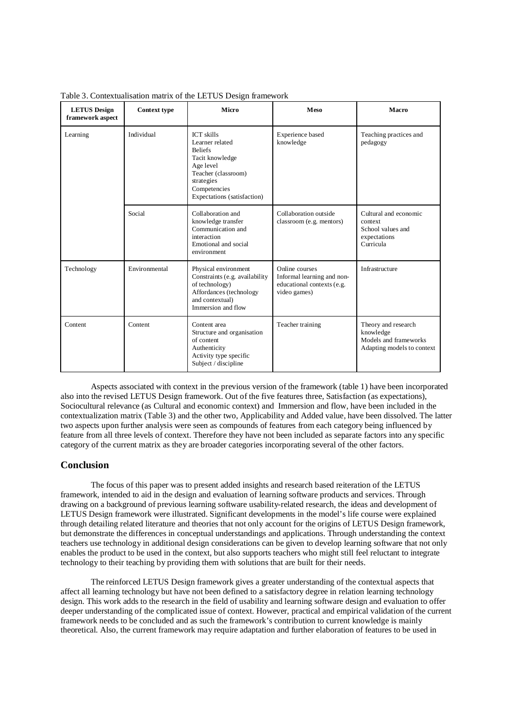| <b>LETUS</b> Design<br>framework aspect | <b>Context type</b> | <b>Micro</b>                                                                                                                                                               | <b>Meso</b>                                                                                | Macro                                                                                   |
|-----------------------------------------|---------------------|----------------------------------------------------------------------------------------------------------------------------------------------------------------------------|--------------------------------------------------------------------------------------------|-----------------------------------------------------------------------------------------|
| Learning                                | Individual          | <b>ICT</b> skills<br>Learner related<br><b>Beliefs</b><br>Tacit knowledge<br>Age level<br>Teacher (classroom)<br>strategies<br>Competencies<br>Expectations (satisfaction) | Experience based<br>knowledge                                                              | Teaching practices and<br>pedagogy                                                      |
|                                         | Social              | Collaboration and<br>knowledge transfer<br>Communication and<br>interaction<br>Emotional and social<br>environment                                                         | Collaboration outside<br>classroom (e.g. mentors)                                          | Cultural and economic<br>context<br>School values and<br>expectations<br>Curricula      |
| Technology                              | Environmental       | Physical environment<br>Constraints (e.g. availability<br>of technology)<br>Affordances (technology<br>and contextual)<br>Immersion and flow                               | Online courses<br>Informal learning and non-<br>educational contexts (e.g.<br>video games) | Infrastructure                                                                          |
| Content                                 | Content             | Content area<br>Structure and organisation<br>of content<br>Authenticity<br>Activity type specific<br>Subject / discipline                                                 | Teacher training                                                                           | Theory and research<br>knowledge<br>Models and frameworks<br>Adapting models to context |

Table 3. Contextualisation matrix of the LETUS Design framework

Aspects associated with context in the previous version of the framework (table 1) have been incorporated also into the revised LETUS Design framework. Out of the five features three, Satisfaction (as expectations), Sociocultural relevance (as Cultural and economic context) and Immersion and flow, have been included in the contextualization matrix (Table 3) and the other two, Applicability and Added value, have been dissolved. The latter two aspects upon further analysis were seen as compounds of features from each category being influenced by feature from all three levels of context. Therefore they have not been included as separate factors into any specific category of the current matrix as they are broader categories incorporating several of the other factors.

### **Conclusion**

The focus of this paper was to present added insights and research based reiteration of the LETUS framework, intended to aid in the design and evaluation of learning software products and services. Through drawing on a background of previous learning software usability-related research, the ideas and development of LETUS Design framework were illustrated. Significant developments in the model's life course were explained through detailing related literature and theories that not only account for the origins of LETUS Design framework, but demonstrate the differences in conceptual understandings and applications. Through understanding the context teachers use technology in additional design considerations can be given to develop learning software that not only enables the product to be used in the context, but also supports teachers who might still feel reluctant to integrate technology to their teaching by providing them with solutions that are built for their needs.

The reinforced LETUS Design framework gives a greater understanding of the contextual aspects that affect all learning technology but have not been defined to a satisfactory degree in relation learning technology design. This work adds to the research in the field of usability and learning software design and evaluation to offer deeper understanding of the complicated issue of context. However, practical and empirical validation of the current framework needs to be concluded and as such the framework's contribution to current knowledge is mainly theoretical. Also, the current framework may require adaptation and further elaboration of features to be used in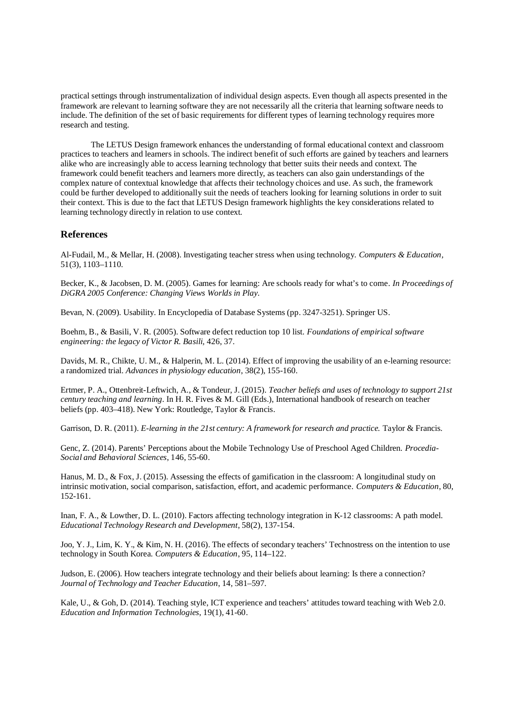practical settings through instrumentalization of individual design aspects. Even though all aspects presented in the framework are relevant to learning software they are not necessarily all the criteria that learning software needs to include. The definition of the set of basic requirements for different types of learning technology requires more research and testing.

The LETUS Design framework enhances the understanding of formal educational context and classroom practices to teachers and learners in schools. The indirect benefit of such efforts are gained by teachers and learners alike who are increasingly able to access learning technology that better suits their needs and context. The framework could benefit teachers and learners more directly, as teachers can also gain understandings of the complex nature of contextual knowledge that affects their technology choices and use. As such, the framework could be further developed to additionally suit the needs of teachers looking for learning solutions in order to suit their context. This is due to the fact that LETUS Design framework highlights the key considerations related to learning technology directly in relation to use context.

#### **References**

Al-Fudail, M., & Mellar, H. (2008). Investigating teacher stress when using technology. *Computers & Education,* 51(3), 1103–1110.

Becker, K., & Jacobsen, D. M. (2005). Games for learning: Are schools ready for what's to come*. In Proceedings of DiGRA 2005 Conference: Changing Views Worlds in Play.*

Bevan, N. (2009). Usability. In Encyclopedia of Database Systems (pp. 3247-3251). Springer US.

Boehm, B., & Basili, V. R. (2005). Software defect reduction top 10 list. *Foundations of empirical software engineering: the legacy of Victor R. Basili,* 426, 37.

Davids, M. R., Chikte, U. M., & Halperin, M. L. (2014). Effect of improving the usability of an e-learning resource: a randomized trial. *Advances in physiology education*, 38(2), 155-160.

Ertmer, P. A., Ottenbreit-Leftwich, A., & Tondeur, J. (2015). *Teacher beliefs and uses of technology to support 21st century teaching and learning.* In H. R. Fives & M. Gill (Eds.), International handbook of research on teacher beliefs (pp. 403–418). New York: Routledge, Taylor & Francis.

Garrison, D. R. (2011). *E-learning in the 21st century: A framework for research and practice.* Taylor & Francis.

Genc, Z. (2014). Parents' Perceptions about the Mobile Technology Use of Preschool Aged Children. *Procedia-Social and Behavioral Sciences*, 146, 55-60.

Hanus, M. D., & Fox, J. (2015). Assessing the effects of gamification in the classroom: A longitudinal study on intrinsic motivation, social comparison, satisfaction, effort, and academic performance. *Computers & Education*, 80, 152-161.

Inan, F. A., & Lowther, D. L. (2010). Factors affecting technology integration in K-12 classrooms: A path model. *Educational Technology Research and Development*, 58(2), 137-154.

Joo, Y. J., Lim, K. Y., & Kim, N. H. (2016). The effects of secondary teachers' Technostress on the intention to use technology in South Korea. *Computers & Education*, 95, 114–122.

Judson, E. (2006). How teachers integrate technology and their beliefs about learning: Is there a connection? *Journal of Technology and Teacher Education*, 14, 581–597.

Kale, U., & Goh, D. (2014). Teaching style, ICT experience and teachers' attitudes toward teaching with Web 2.0. *Education and Information Technologies*, 19(1), 41-60.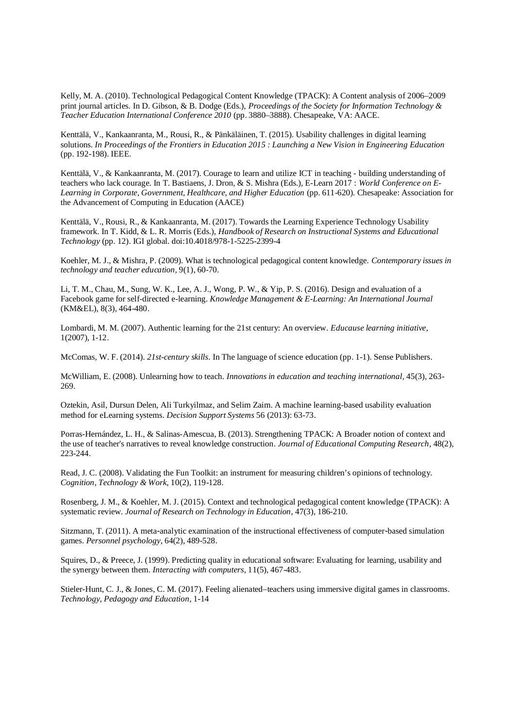Kelly, M. A. (2010). Technological Pedagogical Content Knowledge (TPACK): A Content analysis of 2006–2009 print journal articles. In D. Gibson, & B. Dodge (Eds.), *Proceedings of the Society for Information Technology & Teacher Education International Conference 2010* (pp. 3880–3888). Chesapeake, VA: AACE.

Kenttälä, V., Kankaanranta, M., Rousi, R., & Pänkäläinen, T. (2015). Usability challenges in digital learning solutions*. In Proceedings of the Frontiers in Education 2015 : Launching a New Vision in Engineering Education* (pp. 192-198). IEEE.

Kenttälä, V., & Kankaanranta, M. (2017). Courage to learn and utilize ICT in teaching - building understanding of teachers who lack courage. In T. Bastiaens, J. Dron, & S. Mishra (Eds.), E-Learn 2017 : *World Conference on E-Learning in Corporate, Government, Healthcare, and Higher Education* (pp. 611-620). Chesapeake: Association for the Advancement of Computing in Education (AACE)

Kenttälä, V., Rousi, R., & Kankaanranta, M. (2017). Towards the Learning Experience Technology Usability framework. In T. Kidd, & L. R. Morris (Eds.), *Handbook of Research on Instructional Systems and Educational Technology* (pp. 12). IGI global. doi:10.4018/978-1-5225-2399-4

Koehler, M. J., & Mishra, P. (2009). What is technological pedagogical content knowledge. *Contemporary issues in technology and teacher education,* 9(1), 60-70.

Li, T. M., Chau, M., Sung, W. K., Lee, A. J., Wong, P. W., & Yip, P. S. (2016). Design and evaluation of a Facebook game for self-directed e-learning. *Knowledge Management & E-Learning: An International Journal* (KM&EL), 8(3), 464-480.

Lombardi, M. M. (2007). Authentic learning for the 21st century: An overview. *Educause learning initiative,* 1(2007), 1-12.

McComas, W. F. (2014). *21st-century skills.* In The language of science education (pp. 1-1). Sense Publishers.

McWilliam, E. (2008). Unlearning how to teach. *Innovations in education and teaching international*, 45(3), 263- 269.

Oztekin, Asil, Dursun Delen, Ali Turkyilmaz, and Selim Zaim. A machine learning-based usability evaluation method for eLearning systems. *Decision Support Systems* 56 (2013): 63-73.

Porras-Hernández, L. H., & Salinas-Amescua, B. (2013). Strengthening TPACK: A Broader notion of context and the use of teacher's narratives to reveal knowledge construction*. Journal of Educational Computing Research*, 48(2), 223-244.

Read, J. C. (2008). Validating the Fun Toolkit: an instrument for measuring children's opinions of technology. *Cognition, Technology & Work*, 10(2), 119-128.

Rosenberg, J. M., & Koehler, M. J. (2015). Context and technological pedagogical content knowledge (TPACK): A systematic review. *Journal of Research on Technology in Education,* 47(3), 186-210.

Sitzmann, T. (2011). A meta-analytic examination of the instructional effectiveness of computer-based simulation games. *Personnel psychology*, 64(2), 489-528.

Squires, D., & Preece, J. (1999). Predicting quality in educational software: Evaluating for learning, usability and the synergy between them. *Interacting with computers*, 11(5), 467-483.

Stieler-Hunt, C. J., & Jones, C. M. (2017). Feeling alienated–teachers using immersive digital games in classrooms. *Technology, Pedagogy and Education*, 1-14